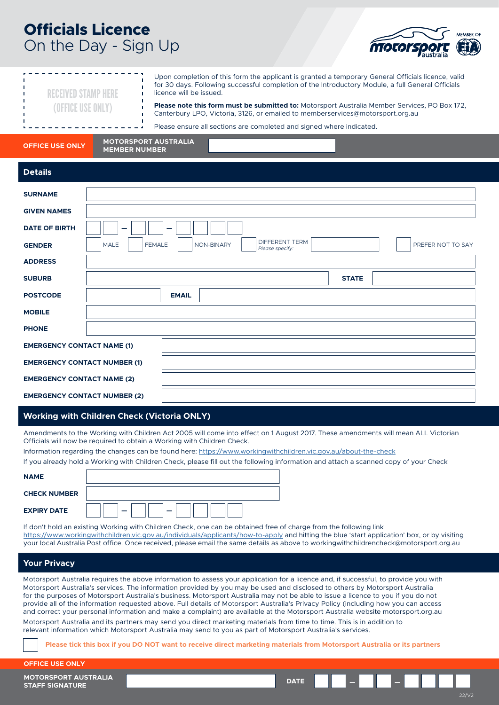# **Officials Licence** On the Day - Sign Up



| <b>RECEIVED STAMP HERE</b> |  |
|----------------------------|--|
| (OFFICE USE ONLY)          |  |

Upon completion of this form the applicant is granted a temporary General Officials licence, valid for 30 days. Following successful completion of the Introductory Module, a full General Officials licence will be issued.

**Please note this form must be submitted to:** Motorsport Australia Member Services, PO Box 172, Canterbury LPO, Victoria, 3126, or emailed to memberservices@motorsport.org.au

Please ensure all sections are completed and signed where indicated.

**OFFICE USE ONLY MOTORSPORT AUSTRALIA MEMBER NUMBER**

| <b>Details</b>                      |                                                                                                             |  |  |  |  |
|-------------------------------------|-------------------------------------------------------------------------------------------------------------|--|--|--|--|
| <b>SURNAME</b>                      |                                                                                                             |  |  |  |  |
| <b>GIVEN NAMES</b>                  |                                                                                                             |  |  |  |  |
| <b>DATE OF BIRTH</b>                | -<br>—                                                                                                      |  |  |  |  |
| <b>GENDER</b>                       | <b>DIFFERENT TERM</b><br>PREFER NOT TO SAY<br><b>MALE</b><br><b>FEMALE</b><br>NON-BINARY<br>Please specify: |  |  |  |  |
| <b>ADDRESS</b>                      |                                                                                                             |  |  |  |  |
| <b>SUBURB</b>                       | <b>STATE</b>                                                                                                |  |  |  |  |
| <b>POSTCODE</b>                     | <b>EMAIL</b>                                                                                                |  |  |  |  |
| <b>MOBILE</b>                       |                                                                                                             |  |  |  |  |
| <b>PHONE</b>                        |                                                                                                             |  |  |  |  |
| <b>EMERGENCY CONTACT NAME (1)</b>   |                                                                                                             |  |  |  |  |
| <b>EMERGENCY CONTACT NUMBER (1)</b> |                                                                                                             |  |  |  |  |
| <b>EMERGENCY CONTACT NAME (2)</b>   |                                                                                                             |  |  |  |  |
|                                     | <b>EMERGENCY CONTACT NUMBER (2)</b>                                                                         |  |  |  |  |

# **Working with Children Check (Victoria ONLY)**

Amendments to the Working with Children Act 2005 will come into effect on 1 August 2017. These amendments will mean ALL Victorian Officials will now be required to obtain a Working with Children Check.

Information regarding the changes can be found here:<https://www.workingwithchildren.vic.gov.au/about-the-check>

If you already hold a Working with Children Check, please fill out the following information and attach a scanned copy of your Check

| <b>NAME</b>         |  |
|---------------------|--|
| <b>CHECK NUMBER</b> |  |
| <b>EXPIRY DATE</b>  |  |

If don't hold an existing Working with Children Check, one can be obtained free of charge from the following link <https://www.workingwithchildren.vic.gov.au/individuals/applicants/how-to-apply>and hitting the blue 'start application' box, or by visiting your local Australia Post office. Once received, please email the same details as above to workingwithchildrencheck@motorsport.org.au

# **Your Privacy**

Motorsport Australia requires the above information to assess your application for a licence and, if successful, to provide you with Motorsport Australia's services. The information provided by you may be used and disclosed to others by Motorsport Australia for the purposes of Motorsport Australia's business. Motorsport Australia may not be able to issue a licence to you if you do not provide all of the information requested above. Full details of Motorsport Australia's Privacy Policy (including how you can access and correct your personal information and make a complaint) are available at the Motorsport Australia website motorsport.org.au Motorsport Australia and its partners may send you direct marketing materials from time to time. This is in addition to

relevant information which Motorsport Australia may send to you as part of Motorsport Australia's services.

**Please tick this box if you DO NOT want to receive direct marketing materials from Motorsport Australia or its partners**

**OFFICE USE ONLY MOTORSPORT AUSTRALIA STAFF SIGNATURE DATE — —**



 $22/N2$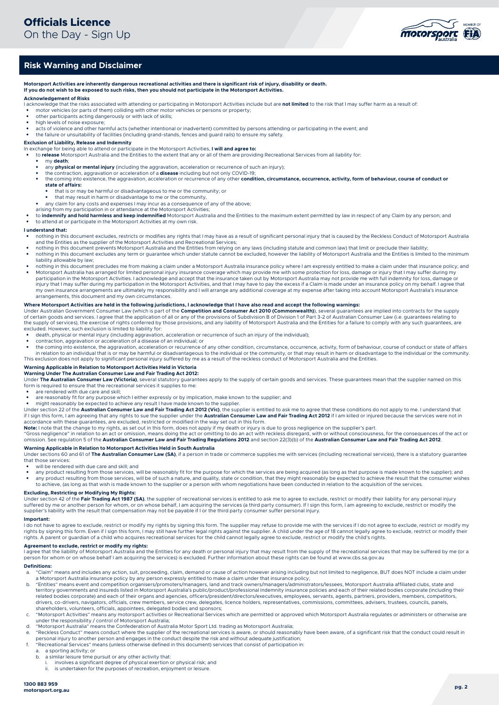

# **Risk Warning and Disclaimer**

**Motorsport Activities are inherently dangerous recreational activities and there is significant risk of injury, disability or death. If you do not wish to be exposed to such risks, then you should not participate in the Motorsport Activities.**

### **Acknowledgement of Risks**

- I acknowledge that the risks associated with attending or participating in Motorsport Activities include but are **not limited** to the risk that I may suffer harm as a result of:
- motor vehicles (or parts of them) colliding with other motor vehicles or persons or property; • other participants acting dangerously or with lack of skills;
- high levels of noise exposure;
- 
- acts of violence and other harmful acts (whether intentional or inadvertent) committed by persons attending or participating in the event; and and the failure or unsuitability of facilities (including grand-stands, fences

**Exclusion of Liability, Release and Indemnity** In exchange for being able to attend or participate in the Motorsport Activities, **I will and agree to:** 

- to **release** Motorsport Australia and the Entities to the extent that any or all of them are providing Recreational Services from all liability for:
	- my **death**;
	- any **physical or mental injury** (including the aggravation, acceleration or recurrence of such an injury);
	-
	- the contraction, aggravation or acceleration of a **disease** including but not only COVID-19;<br>• the coming into existence, the aggravation, acceleration or recurrence of any other **condition, circumstance, occurrence, act state of affairs:**
		- that is or may be harmful or disadvantageous to me or the community; or
	- that he or may be harmland the absoluting goods to me or the community,
	- any claim for any costs and expenses I may incur as a consequence of any of the above; arising from my participation in or attendance at the Motorsport Activities;
- 
- to **indemnify and hold harmless and keep indemnified** Motorsport Australia and the Entities to the maximum extent permitted by law in respect of any Claim by any person; and to attend at or participate in the Motorsport Activities at my own risk.

### **I understand that:**

- nothing in this document excludes, restricts or modifies any rights that I may have as a result of significant personal injury that is caused by the Reckless Conduct of Motorsport Australia and the Entities as the supplier of the Motorsport Activities and Recreational Services;
- nothing in this document prevents Motorsport Australia and the Entities from relying on any laws (including statute and common law) that limit or preclude their liability; • nothing in this document excludes any term or guarantee which under statute cannot be excluded, however the liability of Motorsport Australia and the Entities is limited to the minimum liability allowable by law;
- nothing in this document precludes me from making a claim under a Motorsport Australia insurance policy where I am expressly entitled to make a claim under that insurance policy; and
- Motorsport Australia has arranged for limited personal injury insurance coverage which may provide me with some protection for loss, damage or injury that I may suffer during my participation in the Motorsport Activities. I acknowledge and accept that the insurance taken out by Motorsport Australia may not provide me with full indemnity for loss, damage or injury that I may suffer during my participation in the Motorsport Activities, and that I may have to pay the excess if a Claim is made under an insurance policy on my behalf. I agree that my own insurance arrangements are ultimately my responsibility and I will arrange any additional coverage at my expense after taking into account Motorsport Australia's insurance arrangements, this document and my own circumstances.

### **Where Motorsport Activities are held in the following jurisdictions, I acknowledge that I have also read and accept the following warnings:**

Under Australian Government Consumer Law (which is part of the **Competition and Consumer Act 2010 (Commonwealth)**), several guarantees are implied into contracts for the supply of certain goods and services. I agree that the application of all or any of the provisions of Subdivision B of Division 1 of Part 3-2 of Australian Consumer Law (i.e. guarantees relating to the supply of services), the exercise of rights conferred by those provisions, and any liability of Motorsport Australia and the Entities for a failure to comply with any such guarantees, are<br>excluded. However, such exclus

- 
- death, physical or mental injury (including aggravation, acceleration or recurrence of such an injury of the individual); contraction, aggravation or acceleration of a disease of an individual; or
- the coming into existence, the aggravation, acceleration or recurrence of any other condition, circumstance, occurrence, activity, form of behaviour, course of conduct or state of affairs<br>in relation to an individual that This exclusion does not apply to significant personal injury suffered by me as a result of the reckless conduct of Motorsport Australia and the Entities.

### **Warning Applicable in Relation to Motorsport Activities Held in Victoria**

**Warning Under The Australian Consumer Law and Fair Trading Act 2012:** 

Under **The Australian Consumer Law (Victoria)**, several statutory quarantees apply to the supply of certain goods and services. These quarantees mean that the supplier named on this form is required to ensure that the recreational services it supplies to me

- are rendered with due care and skill;
- are reasonably fit for any purpose which I either expressly or by implication, make known to the supplier; and

● might reasonably be expected to achieve any result I have made known to the supplier.<br>Under section 22 of the **Australian Consumer Law and Fair Trading Act 2012 (Vic)**, the supplier is entitled to ask me to agree that t if I sign this form, I am agreeing that any rights to sue the supplier under the **Australian Consumer Law and Fair Trading Act 2012** if I am killed or injured because the services were not in

accordance with these guarantees, are excluded, restricted or modified in the way set out in this form.<br>**Note:** I note that the change to my rights, as set out in this form, does not apply if my death or injury is due to g

"Gross negligence" in relation to an act or omission, means doing the act or omitting to do an act with reckless disregard, with or without consciousness, for the consequences of the act or<br>omission. See regulation 5 of th

**Warning Applicable in Relation to Motorsport Activities Held in South Australia**<br>Under sections 60 and 61 of **The Australian Consumer Law (SA)**, if a person in trade or commerce supplies me with services (including recrea that those services:

will be rendered with due care and skill; and

- any product resulting from those services, will be reasonably fit for the purpose for which the services are being acquired (as long as that purpose is made known to the supplier); and any product resulting from those services, will be of such a nature, and quality, state or condition, that they might reasonably be expected to achieve the result that the consumer wishes
- to achieve, (as long as that wish is made known to the supplier or a person with whom negotiations have been conducted in relation to the acquisition of the services.

### **Excluding, Restricting or Modifying My Rights:**

Under section 42 of the **Fair Trading Act 1987 (SA)**, the supplier of recreational services is entitled to ask me to agree to exclude, restrict or modify their liability for any personal injury<br>suffered by me or another pe supplier's liability with the result that compensation may not be payable if I or the third party consumer suffer personal injury.

### **Important:**

I do not have to agree to exclude, restrict or modify my rights by signing this form. The supplier may refuse to provide me with the services if I do not agree to exclude, restrict or modify my<br>rights by signing this form. rights. A parent or guardian of a child who acquires recreational services for the child cannot legally agree to exclude, restrict or modify the child's rights.

## **Agreement to exclude, restrict or modify my rights:**

I agree that the liability of Motorsport Australia and the Entities for any death or personal injury that may result from the supply of the recreational services that may be suffered by me (or a<br>person for whom or on whose

# **Definitions:**

- a. "Claim" means and includes any action, suit, proceeding, claim, demand or cause of action however arising including but not limited to negligence, BUT does NOT include a claim under a Motorsport Australia insurance policy by any person expressly entitled to make a claim under that insurance policy;
- b. "Entities" means event and competition organisers/promoters/managers, land and track owners/managers/administrators/lessees, Motorsport Australia affiliated clubs, state and<br>territory governments and insureds listed in related bodies corporate) and each of their organs and agencies, officers/president/directors/executives, employees, servants, agents, partners, providers, members, competitors, drivers, co-drivers, navigators, officials, crew members, service crew, delegates, licence holders, representatives, commissions, committees, advisers, trustees, councils, panels,<br>shareholders, volunteers, officials, appoi
- c. "Motorsport Activities" means any motorsport activities or Recreational Services which are permitted or approved which Motorsport Australia regulates or administers or otherwise are<br>under the responsibility / control of
- d. "Motorsport Australia" means the Confederation of Australia Motor Sport Ltd. trading as Motorsport Australia;
- e. "Reckless Conduct" means conduct where the supplier of the recreational services is aware, or should reasonably have been aware, of a significant risk that the conduct could result in personal injury to another person and engages in the conduct despite the risk and without adequate justification;
- f. "Recreational Services" means (unless otherwise defined in this document) services that consist of participation in:
	- a. a sporting activity; or<br>b. a similar leisure time in
		- a similar leisure time pursuit or any other activity that:
		- i. involves a significant degree of physical exertion or physical risk; and<br>i. is undertaken for the purposes of recreation opieves at leisure